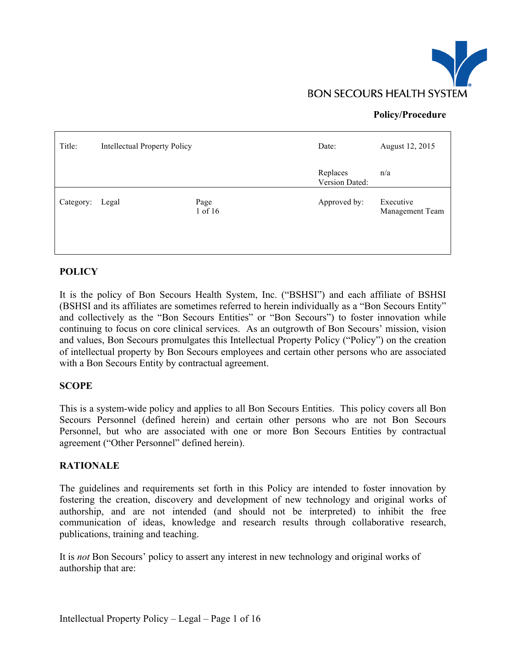

## **Policy/Procedure**

| Title:    | <b>Intellectual Property Policy</b> |                 | Date:                      | August 12, 2015              |
|-----------|-------------------------------------|-----------------|----------------------------|------------------------------|
|           |                                     |                 | Replaces<br>Version Dated: | n/a                          |
| Category: | Legal                               | Page<br>1 of 16 | Approved by:               | Executive<br>Management Team |

### **POLICY**

It is the policy of Bon Secours Health System, Inc. ("BSHSI") and each affiliate of BSHSI (BSHSI and its affiliates are sometimes referred to herein individually as a "Bon Secours Entity" and collectively as the "Bon Secours Entities" or "Bon Secours") to foster innovation while continuing to focus on core clinical services. As an outgrowth of Bon Secours' mission, vision and values, Bon Secours promulgates this Intellectual Property Policy ("Policy") on the creation of intellectual property by Bon Secours employees and certain other persons who are associated with a Bon Secours Entity by contractual agreement.

#### **SCOPE**

This is a system-wide policy and applies to all Bon Secours Entities. This policy covers all Bon Secours Personnel (defined herein) and certain other persons who are not Bon Secours Personnel, but who are associated with one or more Bon Secours Entities by contractual agreement ("Other Personnel" defined herein).

#### **RATIONALE**

The guidelines and requirements set forth in this Policy are intended to foster innovation by fostering the creation, discovery and development of new technology and original works of authorship, and are not intended (and should not be interpreted) to inhibit the free communication of ideas, knowledge and research results through collaborative research, publications, training and teaching.

It is *not* Bon Secours' policy to assert any interest in new technology and original works of authorship that are: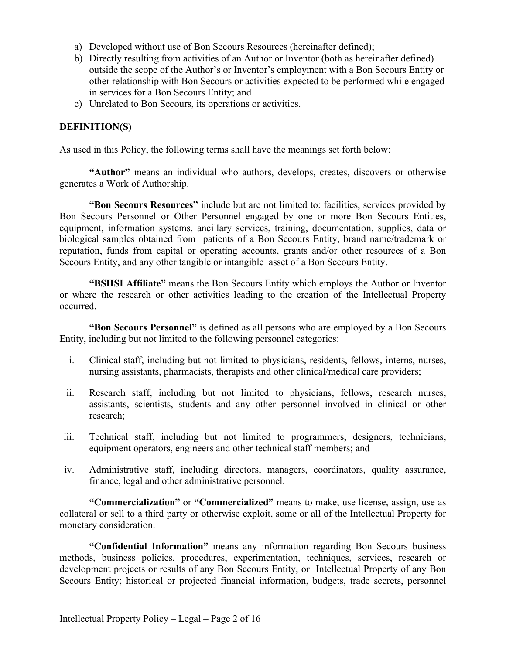- a) Developed without use of Bon Secours Resources (hereinafter defined);
- b) Directly resulting from activities of an Author or Inventor (both as hereinafter defined) outside the scope of the Author's or Inventor's employment with a Bon Secours Entity or other relationship with Bon Secours or activities expected to be performed while engaged in services for a Bon Secours Entity; and
- c) Unrelated to Bon Secours, its operations or activities.

### **DEFINITION(S)**

As used in this Policy, the following terms shall have the meanings set forth below:

**"Author"** means an individual who authors, develops, creates, discovers or otherwise generates a Work of Authorship.

**"Bon Secours Resources"** include but are not limited to: facilities, services provided by Bon Secours Personnel or Other Personnel engaged by one or more Bon Secours Entities, equipment, information systems, ancillary services, training, documentation, supplies, data or biological samples obtained from patients of a Bon Secours Entity, brand name/trademark or reputation, funds from capital or operating accounts, grants and/or other resources of a Bon Secours Entity, and any other tangible or intangible asset of a Bon Secours Entity.

**"BSHSI Affiliate"** means the Bon Secours Entity which employs the Author or Inventor or where the research or other activities leading to the creation of the Intellectual Property occurred.

**"Bon Secours Personnel"** is defined as all persons who are employed by a Bon Secours Entity, including but not limited to the following personnel categories:

- i. Clinical staff, including but not limited to physicians, residents, fellows, interns, nurses, nursing assistants, pharmacists, therapists and other clinical/medical care providers;
- ii. Research staff, including but not limited to physicians, fellows, research nurses, assistants, scientists, students and any other personnel involved in clinical or other research;
- iii. Technical staff, including but not limited to programmers, designers, technicians, equipment operators, engineers and other technical staff members; and
- iv. Administrative staff, including directors, managers, coordinators, quality assurance, finance, legal and other administrative personnel.

**"Commercialization"** or **"Commercialized"** means to make, use license, assign, use as collateral or sell to a third party or otherwise exploit, some or all of the Intellectual Property for monetary consideration.

**"Confidential Information"** means any information regarding Bon Secours business methods, business policies, procedures, experimentation, techniques, services, research or development projects or results of any Bon Secours Entity, or Intellectual Property of any Bon Secours Entity; historical or projected financial information, budgets, trade secrets, personnel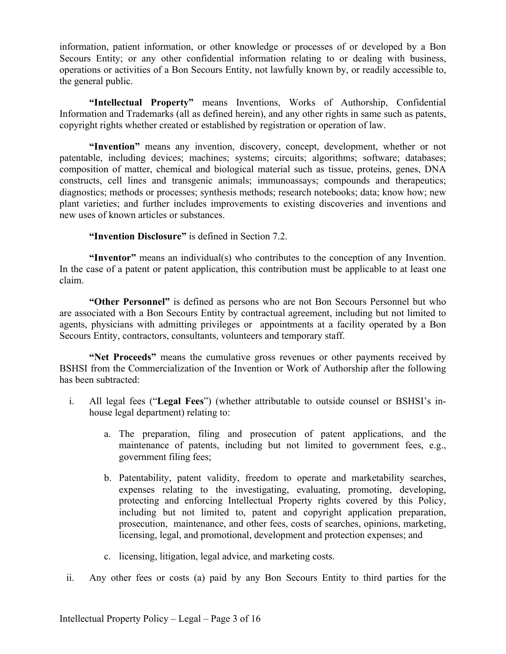information, patient information, or other knowledge or processes of or developed by a Bon Secours Entity; or any other confidential information relating to or dealing with business, operations or activities of a Bon Secours Entity, not lawfully known by, or readily accessible to, the general public.

**"Intellectual Property"** means Inventions, Works of Authorship, Confidential Information and Trademarks (all as defined herein), and any other rights in same such as patents, copyright rights whether created or established by registration or operation of law.

**"Invention"** means any invention, discovery, concept, development, whether or not patentable, including devices; machines; systems; circuits; algorithms; software; databases; composition of matter, chemical and biological material such as tissue, proteins, genes, DNA constructs, cell lines and transgenic animals; immunoassays; compounds and therapeutics; diagnostics; methods or processes; synthesis methods; research notebooks; data; know how; new plant varieties; and further includes improvements to existing discoveries and inventions and new uses of known articles or substances.

**"Invention Disclosure"** is defined in Section 7.2.

**"Inventor"** means an individual(s) who contributes to the conception of any Invention. In the case of a patent or patent application, this contribution must be applicable to at least one claim.

**"Other Personnel"** is defined as persons who are not Bon Secours Personnel but who are associated with a Bon Secours Entity by contractual agreement, including but not limited to agents, physicians with admitting privileges or appointments at a facility operated by a Bon Secours Entity, contractors, consultants, volunteers and temporary staff.

**"Net Proceeds"** means the cumulative gross revenues or other payments received by BSHSI from the Commercialization of the Invention or Work of Authorship after the following has been subtracted:

- i. All legal fees ("**Legal Fees**") (whether attributable to outside counsel or BSHSI's inhouse legal department) relating to:
	- a. The preparation, filing and prosecution of patent applications, and the maintenance of patents, including but not limited to government fees, e.g., government filing fees;
	- b. Patentability, patent validity, freedom to operate and marketability searches, expenses relating to the investigating, evaluating, promoting, developing, protecting and enforcing Intellectual Property rights covered by this Policy, including but not limited to, patent and copyright application preparation, prosecution, maintenance, and other fees, costs of searches, opinions, marketing, licensing, legal, and promotional, development and protection expenses; and
	- c. licensing, litigation, legal advice, and marketing costs.
- ii. Any other fees or costs (a) paid by any Bon Secours Entity to third parties for the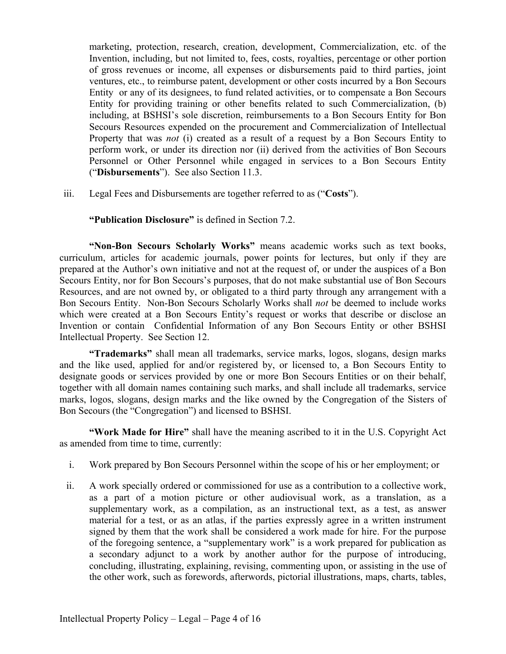marketing, protection, research, creation, development, Commercialization, etc. of the Invention, including, but not limited to, fees, costs, royalties, percentage or other portion of gross revenues or income, all expenses or disbursements paid to third parties, joint ventures, etc., to reimburse patent, development or other costs incurred by a Bon Secours Entity or any of its designees, to fund related activities, or to compensate a Bon Secours Entity for providing training or other benefits related to such Commercialization, (b) including, at BSHSI's sole discretion, reimbursements to a Bon Secours Entity for Bon Secours Resources expended on the procurement and Commercialization of Intellectual Property that was *not* (i) created as a result of a request by a Bon Secours Entity to perform work, or under its direction nor (ii) derived from the activities of Bon Secours Personnel or Other Personnel while engaged in services to a Bon Secours Entity ("**Disbursements**"). See also Section 11.3.

iii. Legal Fees and Disbursements are together referred to as ("**Costs**").

**"Publication Disclosure"** is defined in Section 7.2.

**"Non-Bon Secours Scholarly Works"** means academic works such as text books, curriculum, articles for academic journals, power points for lectures, but only if they are prepared at the Author's own initiative and not at the request of, or under the auspices of a Bon Secours Entity, nor for Bon Secours's purposes, that do not make substantial use of Bon Secours Resources, and are not owned by, or obligated to a third party through any arrangement with a Bon Secours Entity. Non-Bon Secours Scholarly Works shall *not* be deemed to include works which were created at a Bon Secours Entity's request or works that describe or disclose an Invention or contain Confidential Information of any Bon Secours Entity or other BSHSI Intellectual Property. See Section 12.

**"Trademarks"** shall mean all trademarks, service marks, logos, slogans, design marks and the like used, applied for and/or registered by, or licensed to, a Bon Secours Entity to designate goods or services provided by one or more Bon Secours Entities or on their behalf, together with all domain names containing such marks, and shall include all trademarks, service marks, logos, slogans, design marks and the like owned by the Congregation of the Sisters of Bon Secours (the "Congregation") and licensed to BSHSI.

**"Work Made for Hire"** shall have the meaning ascribed to it in the U.S. Copyright Act as amended from time to time, currently:

- i. Work prepared by Bon Secours Personnel within the scope of his or her employment; or
- ii. A work specially ordered or commissioned for use as a contribution to a collective work, as a part of a motion picture or other audiovisual work, as a translation, as a supplementary work, as a compilation, as an instructional text, as a test, as answer material for a test, or as an atlas, if the parties expressly agree in a written instrument signed by them that the work shall be considered a work made for hire. For the purpose of the foregoing sentence, a "supplementary work" is a work prepared for publication as a secondary adjunct to a work by another author for the purpose of introducing, concluding, illustrating, explaining, revising, commenting upon, or assisting in the use of the other work, such as forewords, afterwords, pictorial illustrations, maps, charts, tables,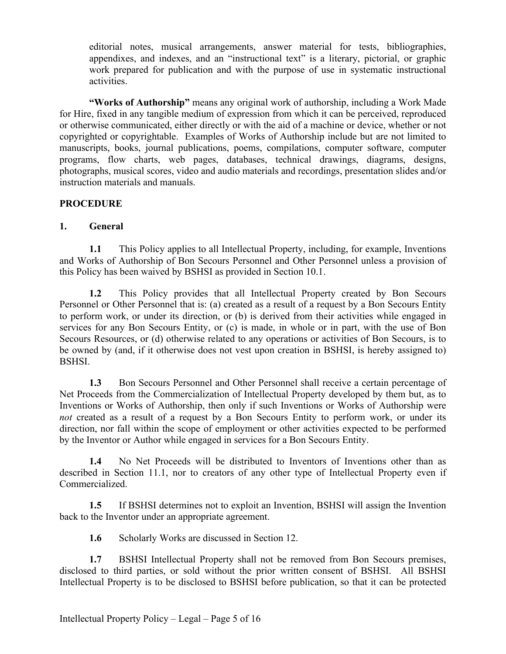editorial notes, musical arrangements, answer material for tests, bibliographies, appendixes, and indexes, and an "instructional text" is a literary, pictorial, or graphic work prepared for publication and with the purpose of use in systematic instructional activities.

**"Works of Authorship"** means any original work of authorship, including a Work Made for Hire, fixed in any tangible medium of expression from which it can be perceived, reproduced or otherwise communicated, either directly or with the aid of a machine or device, whether or not copyrighted or copyrightable. Examples of Works of Authorship include but are not limited to manuscripts, books, journal publications, poems, compilations, computer software, computer programs, flow charts, web pages, databases, technical drawings, diagrams, designs, photographs, musical scores, video and audio materials and recordings, presentation slides and/or instruction materials and manuals.

## **PROCEDURE**

## **1. General**

**1.1** This Policy applies to all Intellectual Property, including, for example, Inventions and Works of Authorship of Bon Secours Personnel and Other Personnel unless a provision of this Policy has been waived by BSHSI as provided in Section 10.1.

**1.2** This Policy provides that all Intellectual Property created by Bon Secours Personnel or Other Personnel that is: (a) created as a result of a request by a Bon Secours Entity to perform work, or under its direction, or (b) is derived from their activities while engaged in services for any Bon Secours Entity, or (c) is made, in whole or in part, with the use of Bon Secours Resources, or (d) otherwise related to any operations or activities of Bon Secours, is to be owned by (and, if it otherwise does not vest upon creation in BSHSI, is hereby assigned to) BSHSI.

**1.3** Bon Secours Personnel and Other Personnel shall receive a certain percentage of Net Proceeds from the Commercialization of Intellectual Property developed by them but, as to Inventions or Works of Authorship, then only if such Inventions or Works of Authorship were *not* created as a result of a request by a Bon Secours Entity to perform work, or under its direction, nor fall within the scope of employment or other activities expected to be performed by the Inventor or Author while engaged in services for a Bon Secours Entity.

**1.4** No Net Proceeds will be distributed to Inventors of Inventions other than as described in Section 11.1, nor to creators of any other type of Intellectual Property even if Commercialized.

**1.5** If BSHSI determines not to exploit an Invention, BSHSI will assign the Invention back to the Inventor under an appropriate agreement.

**1.6** Scholarly Works are discussed in Section 12.

**1.7** BSHSI Intellectual Property shall not be removed from Bon Secours premises, disclosed to third parties, or sold without the prior written consent of BSHSI. All BSHSI Intellectual Property is to be disclosed to BSHSI before publication, so that it can be protected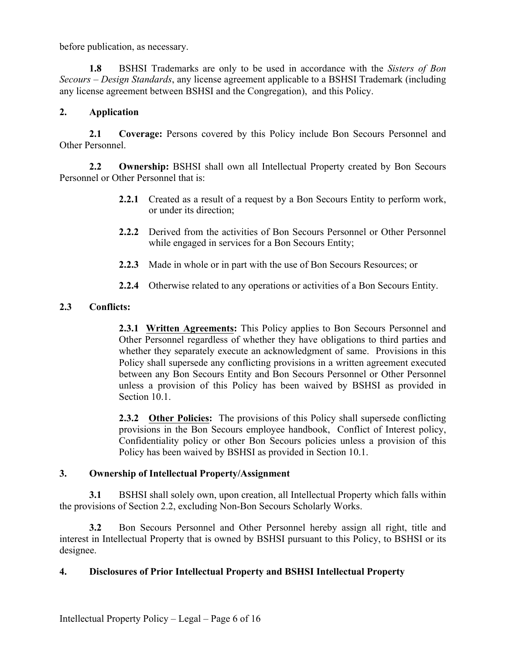before publication, as necessary.

**1.8** BSHSI Trademarks are only to be used in accordance with the *Sisters of Bon Secours – Design Standards*, any license agreement applicable to a BSHSI Trademark (including any license agreement between BSHSI and the Congregation), and this Policy.

### **2. Application**

**2.1 Coverage:** Persons covered by this Policy include Bon Secours Personnel and Other Personnel.

**2.2 Ownership:** BSHSI shall own all Intellectual Property created by Bon Secours Personnel or Other Personnel that is:

- **2.2.1** Created as a result of a request by a Bon Secours Entity to perform work, or under its direction;
- **2.2.2** Derived from the activities of Bon Secours Personnel or Other Personnel while engaged in services for a Bon Secours Entity;
- **2.2.3** Made in whole or in part with the use of Bon Secours Resources; or
- **2.2.4** Otherwise related to any operations or activities of a Bon Secours Entity.

### **2.3 Conflicts:**

**2.3.1 Written Agreements:** This Policy applies to Bon Secours Personnel and Other Personnel regardless of whether they have obligations to third parties and whether they separately execute an acknowledgment of same. Provisions in this Policy shall supersede any conflicting provisions in a written agreement executed between any Bon Secours Entity and Bon Secours Personnel or Other Personnel unless a provision of this Policy has been waived by BSHSI as provided in Section 10.1

**2.3.2 Other Policies:** The provisions of this Policy shall supersede conflicting provisions in the Bon Secours employee handbook, Conflict of Interest policy, Confidentiality policy or other Bon Secours policies unless a provision of this Policy has been waived by BSHSI as provided in Section 10.1.

#### **3. Ownership of Intellectual Property/Assignment**

**3.1** BSHSI shall solely own, upon creation, all Intellectual Property which falls within the provisions of Section 2.2, excluding Non-Bon Secours Scholarly Works.

**3.2** Bon Secours Personnel and Other Personnel hereby assign all right, title and interest in Intellectual Property that is owned by BSHSI pursuant to this Policy, to BSHSI or its designee.

#### **4. Disclosures of Prior Intellectual Property and BSHSI Intellectual Property**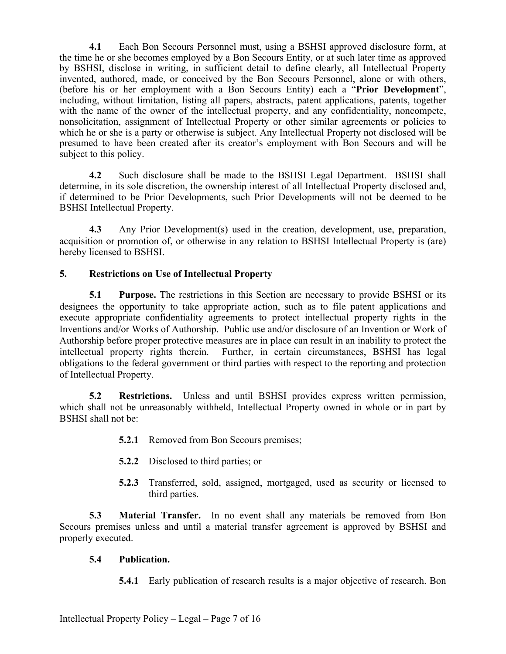**4.1** Each Bon Secours Personnel must, using a BSHSI approved disclosure form, at the time he or she becomes employed by a Bon Secours Entity, or at such later time as approved by BSHSI, disclose in writing, in sufficient detail to define clearly, all Intellectual Property invented, authored, made, or conceived by the Bon Secours Personnel, alone or with others, (before his or her employment with a Bon Secours Entity) each a "**Prior Development**", including, without limitation, listing all papers, abstracts, patent applications, patents, together with the name of the owner of the intellectual property, and any confidentiality, noncompete, nonsolicitation, assignment of Intellectual Property or other similar agreements or policies to which he or she is a party or otherwise is subject. Any Intellectual Property not disclosed will be presumed to have been created after its creator's employment with Bon Secours and will be subject to this policy.

**4.2** Such disclosure shall be made to the BSHSI Legal Department. BSHSI shall determine, in its sole discretion, the ownership interest of all Intellectual Property disclosed and, if determined to be Prior Developments, such Prior Developments will not be deemed to be BSHSI Intellectual Property.

**4.3** Any Prior Development(s) used in the creation, development, use, preparation, acquisition or promotion of, or otherwise in any relation to BSHSI Intellectual Property is (are) hereby licensed to BSHSI.

## **5. Restrictions on Use of Intellectual Property**

**5.1 Purpose.** The restrictions in this Section are necessary to provide BSHSI or its designees the opportunity to take appropriate action, such as to file patent applications and execute appropriate confidentiality agreements to protect intellectual property rights in the Inventions and/or Works of Authorship. Public use and/or disclosure of an Invention or Work of Authorship before proper protective measures are in place can result in an inability to protect the intellectual property rights therein. Further, in certain circumstances, BSHSI has legal obligations to the federal government or third parties with respect to the reporting and protection of Intellectual Property.

**5.2 Restrictions.** Unless and until BSHSI provides express written permission, which shall not be unreasonably withheld, Intellectual Property owned in whole or in part by BSHSI shall not be:

- **5.2.1** Removed from Bon Secours premises;
- **5.2.2** Disclosed to third parties; or
- **5.2.3** Transferred, sold, assigned, mortgaged, used as security or licensed to third parties.

**5.3 Material Transfer.** In no event shall any materials be removed from Bon Secours premises unless and until a material transfer agreement is approved by BSHSI and properly executed.

## **5.4 Publication.**

**5.4.1** Early publication of research results is a major objective of research. Bon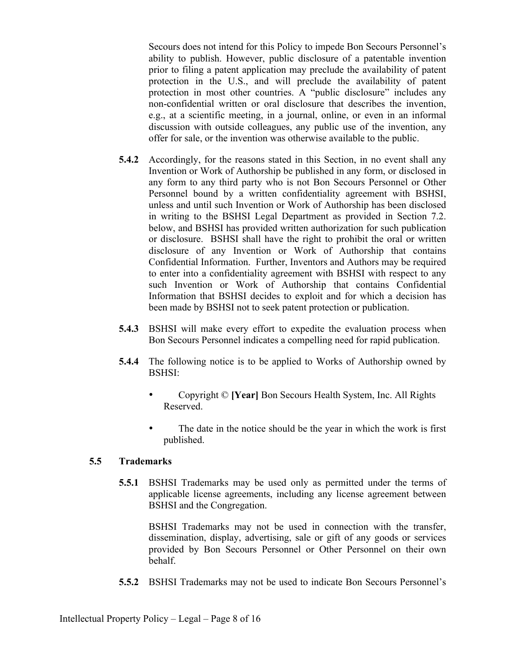Secours does not intend for this Policy to impede Bon Secours Personnel's ability to publish. However, public disclosure of a patentable invention prior to filing a patent application may preclude the availability of patent protection in the U.S., and will preclude the availability of patent protection in most other countries. A "public disclosure" includes any non-confidential written or oral disclosure that describes the invention, e.g., at a scientific meeting, in a journal, online, or even in an informal discussion with outside colleagues, any public use of the invention, any offer for sale, or the invention was otherwise available to the public.

- **5.4.2** Accordingly, for the reasons stated in this Section, in no event shall any Invention or Work of Authorship be published in any form, or disclosed in any form to any third party who is not Bon Secours Personnel or Other Personnel bound by a written confidentiality agreement with BSHSI, unless and until such Invention or Work of Authorship has been disclosed in writing to the BSHSI Legal Department as provided in Section 7.2. below, and BSHSI has provided written authorization for such publication or disclosure. BSHSI shall have the right to prohibit the oral or written disclosure of any Invention or Work of Authorship that contains Confidential Information. Further, Inventors and Authors may be required to enter into a confidentiality agreement with BSHSI with respect to any such Invention or Work of Authorship that contains Confidential Information that BSHSI decides to exploit and for which a decision has been made by BSHSI not to seek patent protection or publication.
- **5.4.3** BSHSI will make every effort to expedite the evaluation process when Bon Secours Personnel indicates a compelling need for rapid publication.
- **5.4.4** The following notice is to be applied to Works of Authorship owned by BSHSI:
	- Copyright © **[Year]** Bon Secours Health System, Inc. All Rights Reserved.
	- The date in the notice should be the year in which the work is first published.

## **5.5 Trademarks**

**5.5.1** BSHSI Trademarks may be used only as permitted under the terms of applicable license agreements, including any license agreement between BSHSI and the Congregation.

BSHSI Trademarks may not be used in connection with the transfer, dissemination, display, advertising, sale or gift of any goods or services provided by Bon Secours Personnel or Other Personnel on their own behalf.

**5.5.2** BSHSI Trademarks may not be used to indicate Bon Secours Personnel's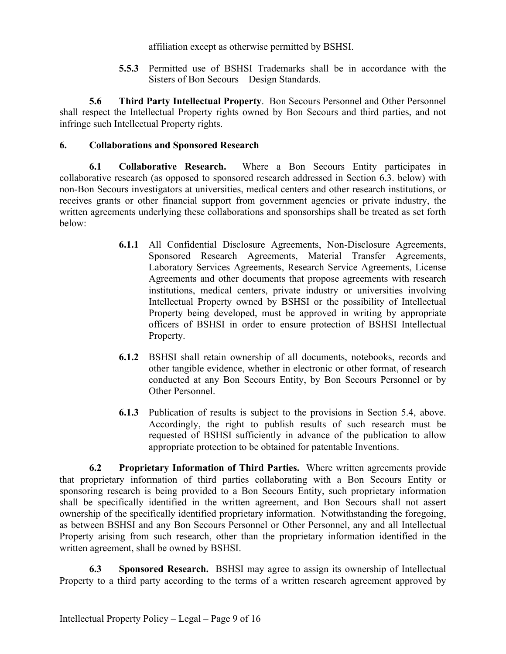affiliation except as otherwise permitted by BSHSI.

**5.5.3** Permitted use of BSHSI Trademarks shall be in accordance with the Sisters of Bon Secours – Design Standards.

**5.6 Third Party Intellectual Property**. Bon Secours Personnel and Other Personnel shall respect the Intellectual Property rights owned by Bon Secours and third parties, and not infringe such Intellectual Property rights.

# **6. Collaborations and Sponsored Research**

**6.1 Collaborative Research.** Where a Bon Secours Entity participates in collaborative research (as opposed to sponsored research addressed in Section 6.3. below) with non-Bon Secours investigators at universities, medical centers and other research institutions, or receives grants or other financial support from government agencies or private industry, the written agreements underlying these collaborations and sponsorships shall be treated as set forth below:

- **6.1.1** All Confidential Disclosure Agreements, Non-Disclosure Agreements, Sponsored Research Agreements, Material Transfer Agreements, Laboratory Services Agreements, Research Service Agreements, License Agreements and other documents that propose agreements with research institutions, medical centers, private industry or universities involving Intellectual Property owned by BSHSI or the possibility of Intellectual Property being developed, must be approved in writing by appropriate officers of BSHSI in order to ensure protection of BSHSI Intellectual Property.
- **6.1.2** BSHSI shall retain ownership of all documents, notebooks, records and other tangible evidence, whether in electronic or other format, of research conducted at any Bon Secours Entity, by Bon Secours Personnel or by Other Personnel.
- **6.1.3** Publication of results is subject to the provisions in Section 5.4, above. Accordingly, the right to publish results of such research must be requested of BSHSI sufficiently in advance of the publication to allow appropriate protection to be obtained for patentable Inventions.

**6.2 Proprietary Information of Third Parties.** Where written agreements provide that proprietary information of third parties collaborating with a Bon Secours Entity or sponsoring research is being provided to a Bon Secours Entity, such proprietary information shall be specifically identified in the written agreement, and Bon Secours shall not assert ownership of the specifically identified proprietary information. Notwithstanding the foregoing, as between BSHSI and any Bon Secours Personnel or Other Personnel, any and all Intellectual Property arising from such research, other than the proprietary information identified in the written agreement, shall be owned by BSHSI.

**6.3 Sponsored Research.** BSHSI may agree to assign its ownership of Intellectual Property to a third party according to the terms of a written research agreement approved by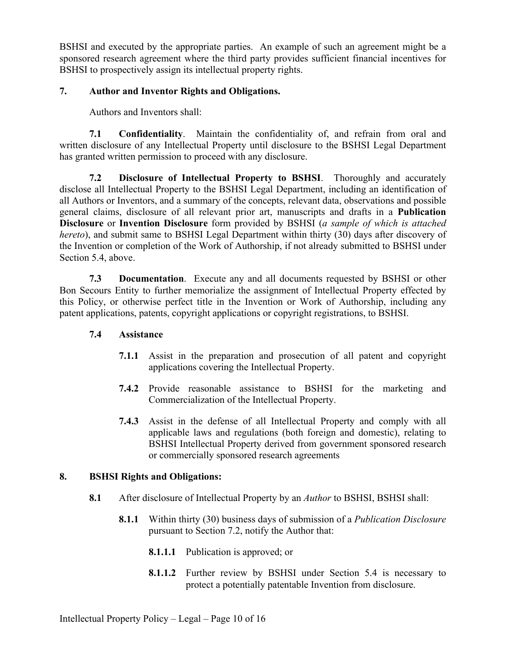BSHSI and executed by the appropriate parties. An example of such an agreement might be a sponsored research agreement where the third party provides sufficient financial incentives for BSHSI to prospectively assign its intellectual property rights.

# **7. Author and Inventor Rights and Obligations.**

Authors and Inventors shall:

**7.1 Confidentiality**. Maintain the confidentiality of, and refrain from oral and written disclosure of any Intellectual Property until disclosure to the BSHSI Legal Department has granted written permission to proceed with any disclosure.

**7.2 Disclosure of Intellectual Property to BSHSI**. Thoroughly and accurately disclose all Intellectual Property to the BSHSI Legal Department, including an identification of all Authors or Inventors, and a summary of the concepts, relevant data, observations and possible general claims, disclosure of all relevant prior art, manuscripts and drafts in a **Publication Disclosure** or **Invention Disclosure** form provided by BSHSI (*a sample of which is attached hereto*), and submit same to BSHSI Legal Department within thirty (30) days after discovery of the Invention or completion of the Work of Authorship, if not already submitted to BSHSI under Section 5.4, above.

**7.3 Documentation**. Execute any and all documents requested by BSHSI or other Bon Secours Entity to further memorialize the assignment of Intellectual Property effected by this Policy, or otherwise perfect title in the Invention or Work of Authorship, including any patent applications, patents, copyright applications or copyright registrations, to BSHSI.

## **7.4 Assistance**

- **7.1.1** Assist in the preparation and prosecution of all patent and copyright applications covering the Intellectual Property.
- **7.4.2** Provide reasonable assistance to BSHSI for the marketing and Commercialization of the Intellectual Property.
- **7.4.3** Assist in the defense of all Intellectual Property and comply with all applicable laws and regulations (both foreign and domestic), relating to BSHSI Intellectual Property derived from government sponsored research or commercially sponsored research agreements

## **8. BSHSI Rights and Obligations:**

- **8.1** After disclosure of Intellectual Property by an *Author* to BSHSI, BSHSI shall:
	- **8.1.1** Within thirty (30) business days of submission of a *Publication Disclosure* pursuant to Section 7.2, notify the Author that:
		- **8.1.1.1** Publication is approved; or
		- **8.1.1.2** Further review by BSHSI under Section 5.4 is necessary to protect a potentially patentable Invention from disclosure.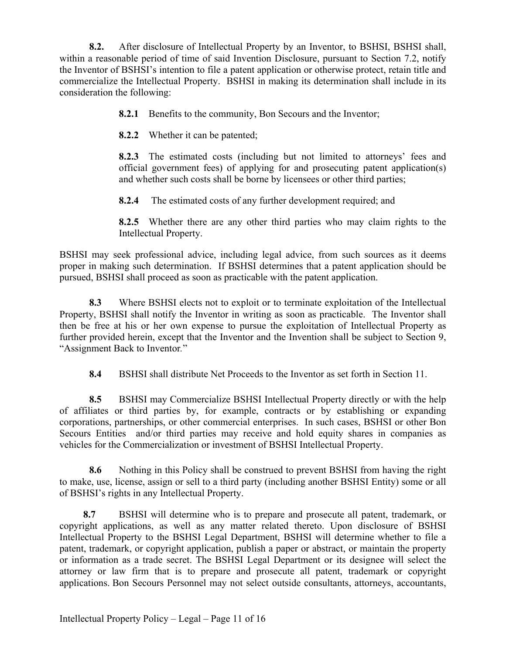**8.2.** After disclosure of Intellectual Property by an Inventor, to BSHSI, BSHSI shall, within a reasonable period of time of said Invention Disclosure, pursuant to Section 7.2, notify the Inventor of BSHSI's intention to file a patent application or otherwise protect, retain title and commercialize the Intellectual Property. BSHSI in making its determination shall include in its consideration the following:

**8.2.1** Benefits to the community, Bon Secours and the Inventor;

**8.2.2** Whether it can be patented;

**8.2.3** The estimated costs (including but not limited to attorneys' fees and official government fees) of applying for and prosecuting patent application(s) and whether such costs shall be borne by licensees or other third parties;

**8.2.4** The estimated costs of any further development required; and

**8.2.5** Whether there are any other third parties who may claim rights to the Intellectual Property.

BSHSI may seek professional advice, including legal advice, from such sources as it deems proper in making such determination. If BSHSI determines that a patent application should be pursued, BSHSI shall proceed as soon as practicable with the patent application.

**8.3** Where BSHSI elects not to exploit or to terminate exploitation of the Intellectual Property, BSHSI shall notify the Inventor in writing as soon as practicable. The Inventor shall then be free at his or her own expense to pursue the exploitation of Intellectual Property as further provided herein, except that the Inventor and the Invention shall be subject to Section 9, "Assignment Back to Inventor*.*"

**8.4** BSHSI shall distribute Net Proceeds to the Inventor as set forth in Section 11.

**8.5** BSHSI may Commercialize BSHSI Intellectual Property directly or with the help of affiliates or third parties by, for example, contracts or by establishing or expanding corporations, partnerships, or other commercial enterprises. In such cases, BSHSI or other Bon Secours Entities and/or third parties may receive and hold equity shares in companies as vehicles for the Commercialization or investment of BSHSI Intellectual Property.

**8.6** Nothing in this Policy shall be construed to prevent BSHSI from having the right to make, use, license, assign or sell to a third party (including another BSHSI Entity) some or all of BSHSI's rights in any Intellectual Property.

**8.7** BSHSI will determine who is to prepare and prosecute all patent, trademark, or copyright applications, as well as any matter related thereto. Upon disclosure of BSHSI Intellectual Property to the BSHSI Legal Department, BSHSI will determine whether to file a patent, trademark, or copyright application, publish a paper or abstract, or maintain the property or information as a trade secret. The BSHSI Legal Department or its designee will select the attorney or law firm that is to prepare and prosecute all patent, trademark or copyright applications. Bon Secours Personnel may not select outside consultants, attorneys, accountants,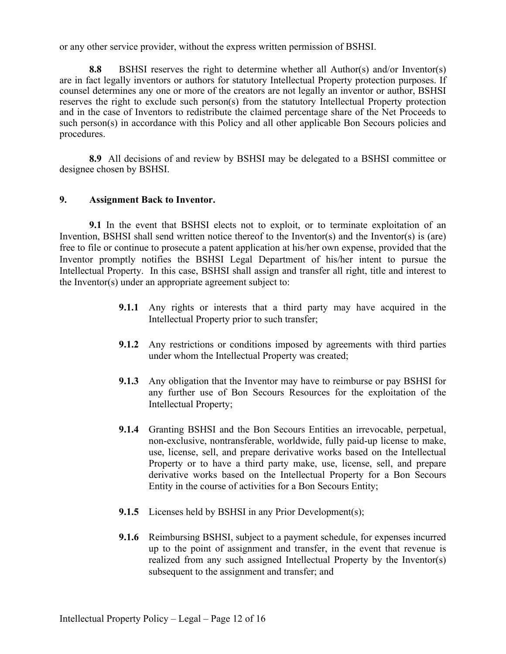or any other service provider, without the express written permission of BSHSI.

**8.8** BSHSI reserves the right to determine whether all Author(s) and/or Inventor(s) are in fact legally inventors or authors for statutory Intellectual Property protection purposes. If counsel determines any one or more of the creators are not legally an inventor or author, BSHSI reserves the right to exclude such person(s) from the statutory Intellectual Property protection and in the case of Inventors to redistribute the claimed percentage share of the Net Proceeds to such person(s) in accordance with this Policy and all other applicable Bon Secours policies and procedures.

**8.9** All decisions of and review by BSHSI may be delegated to a BSHSI committee or designee chosen by BSHSI.

#### **9. Assignment Back to Inventor.**

**9.1** In the event that BSHSI elects not to exploit, or to terminate exploitation of an Invention, BSHSI shall send written notice thereof to the Inventor(s) and the Inventor(s) is (are) free to file or continue to prosecute a patent application at his/her own expense, provided that the Inventor promptly notifies the BSHSI Legal Department of his/her intent to pursue the Intellectual Property. In this case, BSHSI shall assign and transfer all right, title and interest to the Inventor(s) under an appropriate agreement subject to:

- **9.1.1** Any rights or interests that a third party may have acquired in the Intellectual Property prior to such transfer;
- **9.1.2** Any restrictions or conditions imposed by agreements with third parties under whom the Intellectual Property was created;
- **9.1.3** Any obligation that the Inventor may have to reimburse or pay BSHSI for any further use of Bon Secours Resources for the exploitation of the Intellectual Property;
- **9.1.4** Granting BSHSI and the Bon Secours Entities an irrevocable, perpetual, non-exclusive, nontransferable, worldwide, fully paid-up license to make, use, license, sell, and prepare derivative works based on the Intellectual Property or to have a third party make, use, license, sell, and prepare derivative works based on the Intellectual Property for a Bon Secours Entity in the course of activities for a Bon Secours Entity;
- **9.1.5** Licenses held by BSHSI in any Prior Development(s);
- **9.1.6** Reimbursing BSHSI, subject to a payment schedule, for expenses incurred up to the point of assignment and transfer, in the event that revenue is realized from any such assigned Intellectual Property by the Inventor(s) subsequent to the assignment and transfer; and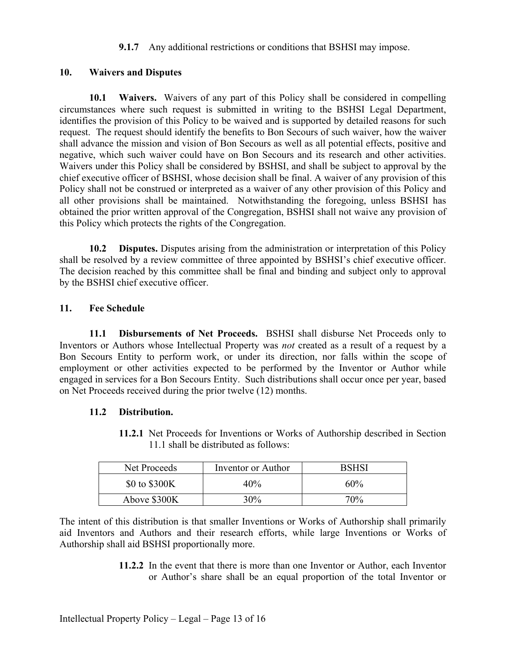### **9.1.7** Any additional restrictions or conditions that BSHSI may impose.

### **10. Waivers and Disputes**

**10.1 Waivers.** Waivers of any part of this Policy shall be considered in compelling circumstances where such request is submitted in writing to the BSHSI Legal Department, identifies the provision of this Policy to be waived and is supported by detailed reasons for such request. The request should identify the benefits to Bon Secours of such waiver, how the waiver shall advance the mission and vision of Bon Secours as well as all potential effects, positive and negative, which such waiver could have on Bon Secours and its research and other activities. Waivers under this Policy shall be considered by BSHSI, and shall be subject to approval by the chief executive officer of BSHSI, whose decision shall be final. A waiver of any provision of this Policy shall not be construed or interpreted as a waiver of any other provision of this Policy and all other provisions shall be maintained. Notwithstanding the foregoing, unless BSHSI has obtained the prior written approval of the Congregation, BSHSI shall not waive any provision of this Policy which protects the rights of the Congregation.

**10.2 Disputes.** Disputes arising from the administration or interpretation of this Policy shall be resolved by a review committee of three appointed by BSHSI's chief executive officer. The decision reached by this committee shall be final and binding and subject only to approval by the BSHSI chief executive officer.

### **11. Fee Schedule**

**11.1 Disbursements of Net Proceeds.** BSHSI shall disburse Net Proceeds only to Inventors or Authors whose Intellectual Property was *not* created as a result of a request by a Bon Secours Entity to perform work, or under its direction, nor falls within the scope of employment or other activities expected to be performed by the Inventor or Author while engaged in services for a Bon Secours Entity. Such distributions shall occur once per year, based on Net Proceeds received during the prior twelve (12) months.

#### **11.2 Distribution.**

**11.2.1** Net Proceeds for Inventions or Works of Authorship described in Section 11.1 shall be distributed as follows:

| Net Proceeds  | Inventor or Author | BSHSI |
|---------------|--------------------|-------|
| \$0 to \$300K | 40%                | 60%   |
| Above \$300K  | 30%                | 70%   |

The intent of this distribution is that smaller Inventions or Works of Authorship shall primarily aid Inventors and Authors and their research efforts, while large Inventions or Works of Authorship shall aid BSHSI proportionally more.

> **11.2.2** In the event that there is more than one Inventor or Author, each Inventor or Author's share shall be an equal proportion of the total Inventor or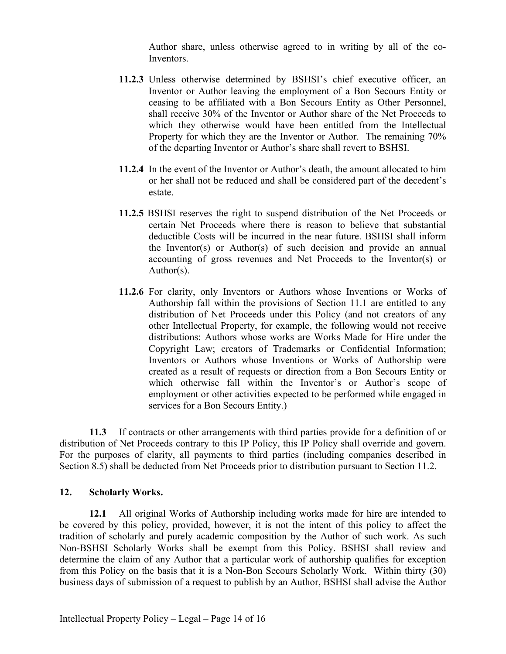Author share, unless otherwise agreed to in writing by all of the co-Inventors.

- **11.2.3** Unless otherwise determined by BSHSI's chief executive officer, an Inventor or Author leaving the employment of a Bon Secours Entity or ceasing to be affiliated with a Bon Secours Entity as Other Personnel, shall receive 30% of the Inventor or Author share of the Net Proceeds to which they otherwise would have been entitled from the Intellectual Property for which they are the Inventor or Author. The remaining 70% of the departing Inventor or Author's share shall revert to BSHSI.
- **11.2.4** In the event of the Inventor or Author's death, the amount allocated to him or her shall not be reduced and shall be considered part of the decedent's estate.
- **11.2.5** BSHSI reserves the right to suspend distribution of the Net Proceeds or certain Net Proceeds where there is reason to believe that substantial deductible Costs will be incurred in the near future. BSHSI shall inform the Inventor(s) or Author(s) of such decision and provide an annual accounting of gross revenues and Net Proceeds to the Inventor(s) or Author(s).
- **11.2.6** For clarity, only Inventors or Authors whose Inventions or Works of Authorship fall within the provisions of Section 11.1 are entitled to any distribution of Net Proceeds under this Policy (and not creators of any other Intellectual Property, for example, the following would not receive distributions: Authors whose works are Works Made for Hire under the Copyright Law; creators of Trademarks or Confidential Information; Inventors or Authors whose Inventions or Works of Authorship were created as a result of requests or direction from a Bon Secours Entity or which otherwise fall within the Inventor's or Author's scope of employment or other activities expected to be performed while engaged in services for a Bon Secours Entity.)

**11.3** If contracts or other arrangements with third parties provide for a definition of or distribution of Net Proceeds contrary to this IP Policy, this IP Policy shall override and govern. For the purposes of clarity, all payments to third parties (including companies described in Section 8.5) shall be deducted from Net Proceeds prior to distribution pursuant to Section 11.2.

#### **12. Scholarly Works.**

**12.1** All original Works of Authorship including works made for hire are intended to be covered by this policy, provided, however, it is not the intent of this policy to affect the tradition of scholarly and purely academic composition by the Author of such work. As such Non-BSHSI Scholarly Works shall be exempt from this Policy. BSHSI shall review and determine the claim of any Author that a particular work of authorship qualifies for exception from this Policy on the basis that it is a Non-Bon Secours Scholarly Work. Within thirty (30) business days of submission of a request to publish by an Author, BSHSI shall advise the Author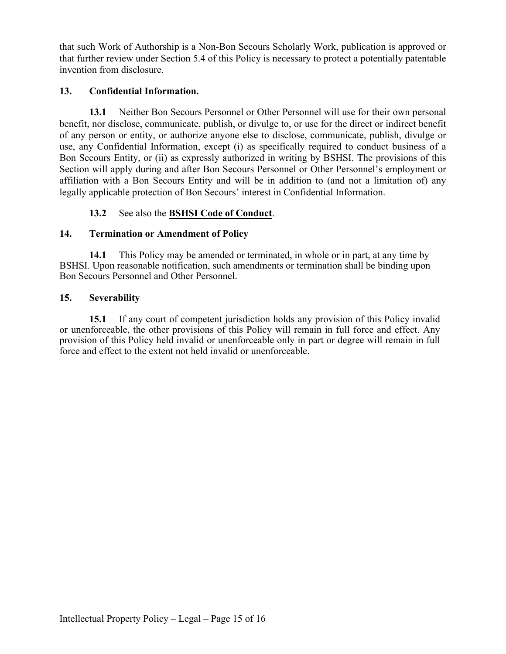that such Work of Authorship is a Non-Bon Secours Scholarly Work, publication is approved or that further review under Section 5.4 of this Policy is necessary to protect a potentially patentable invention from disclosure.

# **13. Confidential Information.**

**13.1** Neither Bon Secours Personnel or Other Personnel will use for their own personal benefit, nor disclose, communicate, publish, or divulge to, or use for the direct or indirect benefit of any person or entity, or authorize anyone else to disclose, communicate, publish, divulge or use, any Confidential Information, except (i) as specifically required to conduct business of a Bon Secours Entity, or (ii) as expressly authorized in writing by BSHSI. The provisions of this Section will apply during and after Bon Secours Personnel or Other Personnel's employment or affiliation with a Bon Secours Entity and will be in addition to (and not a limitation of) any legally applicable protection of Bon Secours' interest in Confidential Information.

# **13.2** See also the **BSHSI Code of Conduct**.

## **14. Termination or Amendment of Policy**

**14.1** This Policy may be amended or terminated, in whole or in part, at any time by BSHSI. Upon reasonable notification, such amendments or termination shall be binding upon Bon Secours Personnel and Other Personnel.

## **15. Severability**

**15.1** If any court of competent jurisdiction holds any provision of this Policy invalid or unenforceable, the other provisions of this Policy will remain in full force and effect. Any provision of this Policy held invalid or unenforceable only in part or degree will remain in full force and effect to the extent not held invalid or unenforceable.